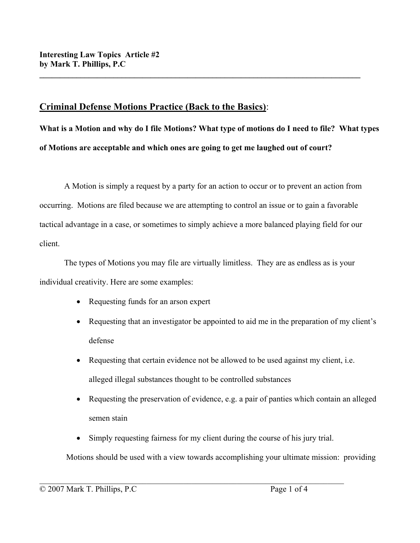# **Criminal Defense Motions Practice (Back to the Basics)**:

**What is a Motion and why do I file Motions? What type of motions do I need to file? What types of Motions are acceptable and which ones are going to get me laughed out of court?** 

**\_\_\_\_\_\_\_\_\_\_\_\_\_\_\_\_\_\_\_\_\_\_\_\_\_\_\_\_\_\_\_\_\_\_\_\_\_\_\_\_\_\_\_\_\_\_\_\_\_\_\_\_\_\_\_\_\_\_\_\_\_\_\_\_\_\_\_\_\_\_\_\_\_\_\_\_\_\_** 

A Motion is simply a request by a party for an action to occur or to prevent an action from occurring. Motions are filed because we are attempting to control an issue or to gain a favorable tactical advantage in a case, or sometimes to simply achieve a more balanced playing field for our client.

The types of Motions you may file are virtually limitless. They are as endless as is your individual creativity. Here are some examples:

- Requesting funds for an arson expert
- Requesting that an investigator be appointed to aid me in the preparation of my client's defense
- Requesting that certain evidence not be allowed to be used against my client, *i.e.* alleged illegal substances thought to be controlled substances
- Requesting the preservation of evidence, e.g. a pair of panties which contain an alleged semen stain
- Simply requesting fairness for my client during the course of his jury trial.

 $\mathcal{L}_\text{max} = \frac{1}{2} \sum_{i=1}^n \mathcal{L}_\text{max}(\mathbf{z}_i - \mathbf{z}_i)$ 

Motions should be used with a view towards accomplishing your ultimate mission: providing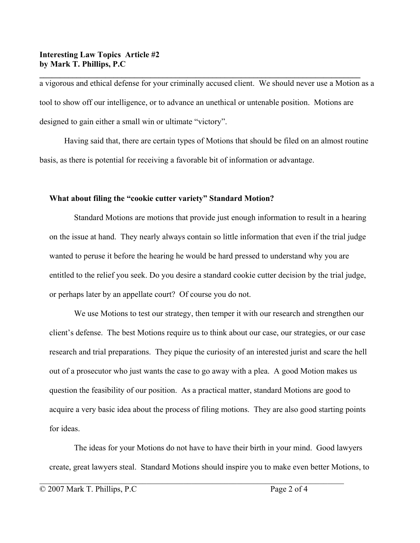#### **Interesting Law Topics Article #2 by Mark T. Phillips, P.C**

a vigorous and ethical defense for your criminally accused client. We should never use a Motion as a tool to show off our intelligence, or to advance an unethical or untenable position. Motions are designed to gain either a small win or ultimate "victory".

**\_\_\_\_\_\_\_\_\_\_\_\_\_\_\_\_\_\_\_\_\_\_\_\_\_\_\_\_\_\_\_\_\_\_\_\_\_\_\_\_\_\_\_\_\_\_\_\_\_\_\_\_\_\_\_\_\_\_\_\_\_\_\_\_\_\_\_\_\_\_\_\_\_\_\_\_\_\_** 

Having said that, there are certain types of Motions that should be filed on an almost routine basis, as there is potential for receiving a favorable bit of information or advantage.

#### **What about filing the "cookie cutter variety" Standard Motion?**

Standard Motions are motions that provide just enough information to result in a hearing on the issue at hand. They nearly always contain so little information that even if the trial judge wanted to peruse it before the hearing he would be hard pressed to understand why you are entitled to the relief you seek. Do you desire a standard cookie cutter decision by the trial judge, or perhaps later by an appellate court? Of course you do not.

We use Motions to test our strategy, then temper it with our research and strengthen our client's defense. The best Motions require us to think about our case, our strategies, or our case research and trial preparations. They pique the curiosity of an interested jurist and scare the hell out of a prosecutor who just wants the case to go away with a plea. A good Motion makes us question the feasibility of our position. As a practical matter, standard Motions are good to acquire a very basic idea about the process of filing motions. They are also good starting points for ideas.

The ideas for your Motions do not have to have their birth in your mind. Good lawyers create, great lawyers steal. Standard Motions should inspire you to make even better Motions, to

 $\mathcal{L}_\text{max} = \frac{1}{2} \sum_{i=1}^n \mathcal{L}_\text{max}(\mathbf{z}_i - \mathbf{z}_i)$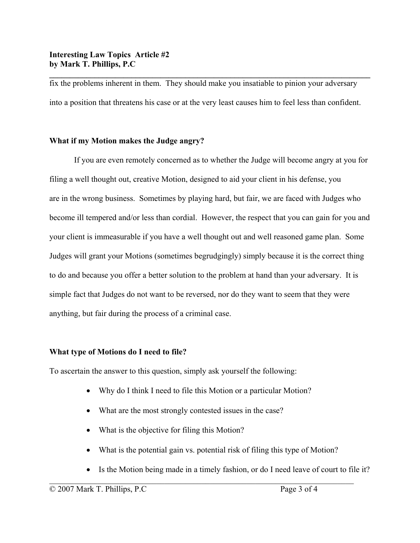fix the problems inherent in them. They should make you insatiable to pinion your adversary into a position that threatens his case or at the very least causes him to feel less than confident.

**\_\_\_\_\_\_\_\_\_\_\_\_\_\_\_\_\_\_\_\_\_\_\_\_\_\_\_\_\_\_\_\_\_\_\_\_\_\_\_\_\_\_\_\_\_\_\_\_\_\_\_\_\_\_\_\_\_\_\_\_\_\_\_\_\_\_\_\_\_\_\_\_\_\_\_\_\_\_** 

## **What if my Motion makes the Judge angry?**

If you are even remotely concerned as to whether the Judge will become angry at you for filing a well thought out, creative Motion, designed to aid your client in his defense, you are in the wrong business. Sometimes by playing hard, but fair, we are faced with Judges who become ill tempered and/or less than cordial. However, the respect that you can gain for you and your client is immeasurable if you have a well thought out and well reasoned game plan. Some Judges will grant your Motions (sometimes begrudgingly) simply because it is the correct thing to do and because you offer a better solution to the problem at hand than your adversary. It is simple fact that Judges do not want to be reversed, nor do they want to seem that they were anything, but fair during the process of a criminal case.

# **What type of Motions do I need to file?**

To ascertain the answer to this question, simply ask yourself the following:

- Why do I think I need to file this Motion or a particular Motion?
- What are the most strongly contested issues in the case?
- What is the objective for filing this Motion?
- What is the potential gain vs. potential risk of filing this type of Motion?

 $\mathcal{L}_\text{max} = \frac{1}{2} \sum_{i=1}^n \mathcal{L}_\text{max}(\mathbf{z}_i - \mathbf{z}_i)$ 

• Is the Motion being made in a timely fashion, or do I need leave of court to file it?